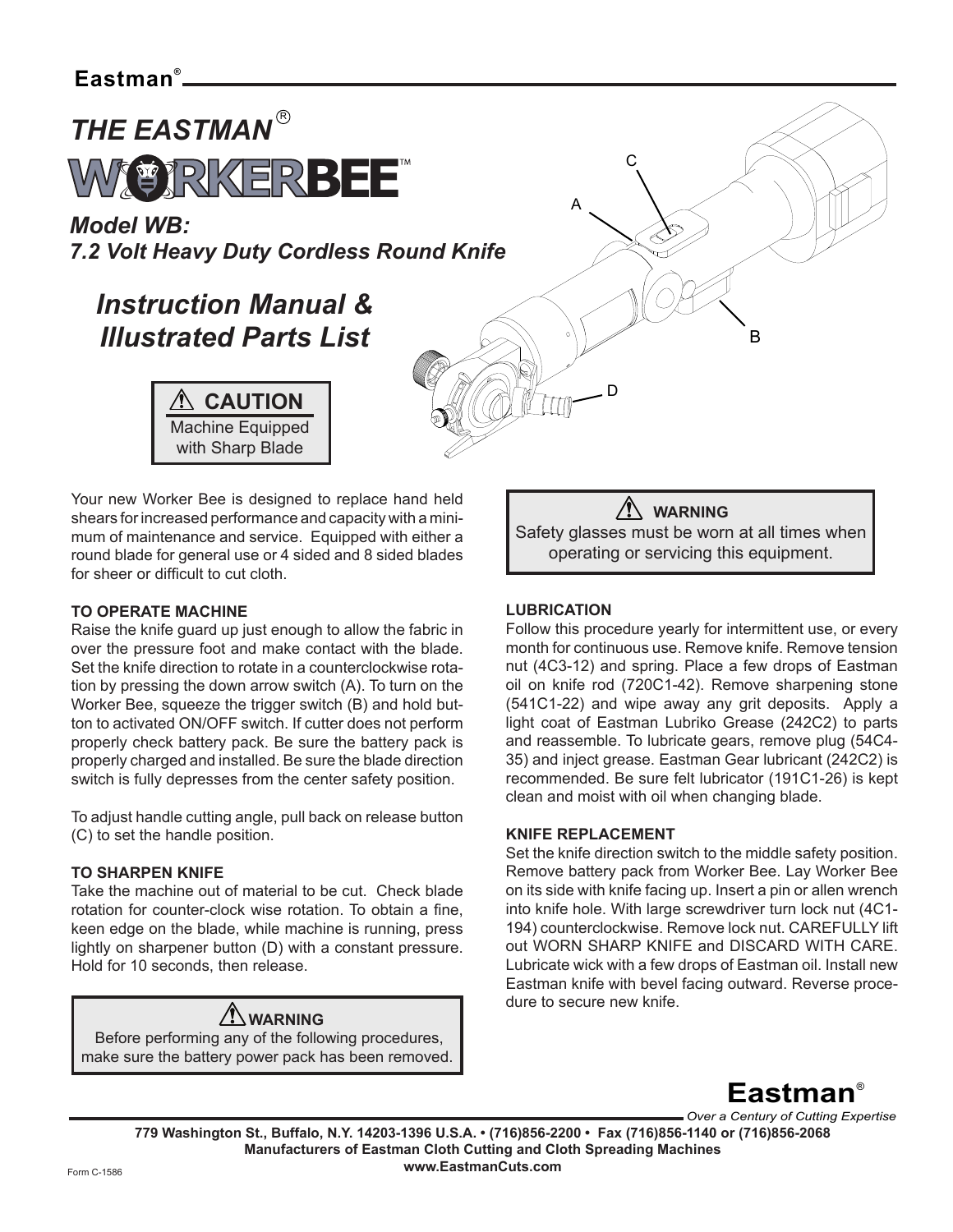# *THE EASTMAN* R



*Model WB: 7.2 Volt Heavy Duty Cordless Round Knife*

## *Instruction Manual & Illustrated Parts List*



Your new Worker Bee is designed to replace hand held shears for increased performance and capacity with a minimum of maintenance and service. Equipped with either a round blade for general use or 4 sided and 8 sided blades for sheer or difficult to cut cloth.

#### **TO OPERATE MACHINE**

Raise the knife guard up just enough to allow the fabric in over the pressure foot and make contact with the blade. Set the knife direction to rotate in a counterclockwise rotation by pressing the down arrow switch (A). To turn on the Worker Bee, squeeze the trigger switch (B) and hold button to activated ON/OFF switch. If cutter does not perform properly check battery pack. Be sure the battery pack is properly charged and installed. Be sure the blade direction switch is fully depresses from the center safety position.

To adjust handle cutting angle, pull back on release button (C) to set the handle position.

#### **TO SHARPEN KNIFE**

Take the machine out of material to be cut. Check blade rotation for counter-clock wise rotation. To obtain a fine, keen edge on the blade, while machine is running, press lightly on sharpener button (D) with a constant pressure. Hold for 10 seconds, then release.

## **WARNING**

 Before performing any of the following procedures, make sure the battery power pack has been removed.

### **WARNING** Safety glasses must be worn at all times when operating or servicing this equipment.

B

#### **LUBRICATION**

**TIM** 

A

C

D

Follow this procedure yearly for intermittent use, or every month for continuous use. Remove knife. Remove tension nut (4C3-12) and spring. Place a few drops of Eastman oil on knife rod (720C1-42). Remove sharpening stone (541C1-22) and wipe away any grit deposits. Apply a light coat of Eastman Lubriko Grease (242C2) to parts and reassemble. To lubricate gears, remove plug (54C4- 35) and inject grease. Eastman Gear lubricant (242C2) is recommended. Be sure felt lubricator (191C1-26) is kept clean and moist with oil when changing blade.

#### **KNIFE REPLACEMENT**

Set the knife direction switch to the middle safety position. Remove battery pack from Worker Bee. Lay Worker Bee on its side with knife facing up. Insert a pin or allen wrench into knife hole. With large screwdriver turn lock nut (4C1- 194) counterclockwise. Remove lock nut. CAREFULLY lift out WORN SHARP KNIFE and DISCARD WITH CARE. Lubricate wick with a few drops of Eastman oil. Install new Eastman knife with bevel facing outward. Reverse procedure to secure new knife.



**779 Washington St., Buffalo, N.Y. 14203-1396 U.S.A. • (716)856-2200 • Fax (716)856-1140 or (716)856-2068 Manufacturers of Eastman Cloth Cutting and Cloth Spreading Machines www.EastmanCuts.com**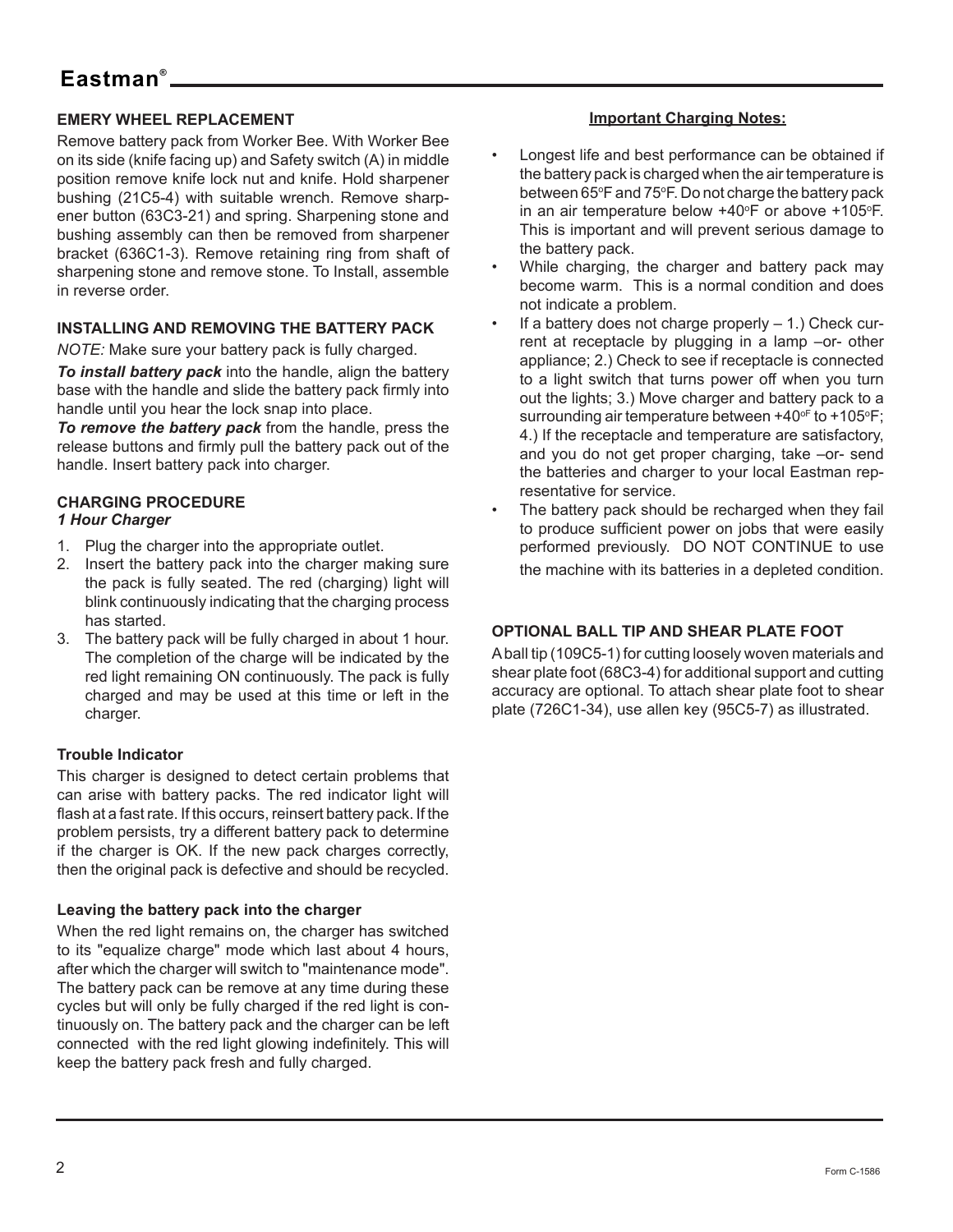## **Eastman®**

#### **EMERY WHEEL REPLACEMENT**

Remove battery pack from Worker Bee. With Worker Bee on its side (knife facing up) and Safety switch (A) in middle position remove knife lock nut and knife. Hold sharpener bushing (21C5-4) with suitable wrench. Remove sharpener button (63C3-21) and spring. Sharpening stone and bushing assembly can then be removed from sharpener bracket (636C1-3). Remove retaining ring from shaft of sharpening stone and remove stone. To Install, assemble in reverse order.

#### **INSTALLING AND REMOVING THE BATTERY PACK**

*NOTE:* Make sure your battery pack is fully charged.

*To install battery pack* into the handle, align the battery base with the handle and slide the battery pack firmly into handle until you hear the lock snap into place.

*To remove the battery pack* from the handle, press the release buttons and firmly pull the battery pack out of the handle. Insert battery pack into charger.

#### **CHARGING PROCEDURE** *1 Hour Charger*

- 1. Plug the charger into the appropriate outlet.
- 2. Insert the battery pack into the charger making sure the pack is fully seated. The red (charging) light will blink continuously indicating that the charging process has started.
- 3. The battery pack will be fully charged in about 1 hour. The completion of the charge will be indicated by the red light remaining ON continuously. The pack is fully charged and may be used at this time or left in the charger.

#### **Trouble Indicator**

This charger is designed to detect certain problems that can arise with battery packs. The red indicator light will flash at a fast rate. If this occurs, reinsert battery pack. If the problem persists, try a different battery pack to determine if the charger is OK. If the new pack charges correctly, then the original pack is defective and should be recycled.

#### **Leaving the battery pack into the charger**

When the red light remains on, the charger has switched to its "equalize charge" mode which last about 4 hours, after which the charger will switch to "maintenance mode". The battery pack can be remove at any time during these cycles but will only be fully charged if the red light is continuously on. The battery pack and the charger can be left connected with the red light glowing indefinitely. This will keep the battery pack fresh and fully charged.

#### **Important Charging Notes:**

- Longest life and best performance can be obtained if the battery pack is charged when the air temperature is between 65°F and 75°F. Do not charge the battery pack in an air temperature below +40°F or above +105°F. This is important and will prevent serious damage to the battery pack.
- While charging, the charger and battery pack may become warm. This is a normal condition and does not indicate a problem.
- If a battery does not charge properly  $-1$ .) Check current at receptacle by plugging in a lamp –or- other appliance; 2.) Check to see if receptacle is connected to a light switch that turns power off when you turn out the lights; 3.) Move charger and battery pack to a surrounding air temperature between +40<sup>oF</sup> to +105°F; 4.) If the receptacle and temperature are satisfactory, and you do not get proper charging, take –or- send the batteries and charger to your local Eastman representative for service.
- The battery pack should be recharged when they fail to produce sufficient power on jobs that were easily performed previously. DO NOT CONTINUE to use the machine with its batteries in a depleted condition.

#### **OPTIONAL BALL TIP AND SHEAR PLATE FOOT**

A ball tip (109C5-1) for cutting loosely woven materials and shear plate foot (68C3-4) for additional support and cutting accuracy are optional. To attach shear plate foot to shear plate (726C1-34), use allen key (95C5-7) as illustrated.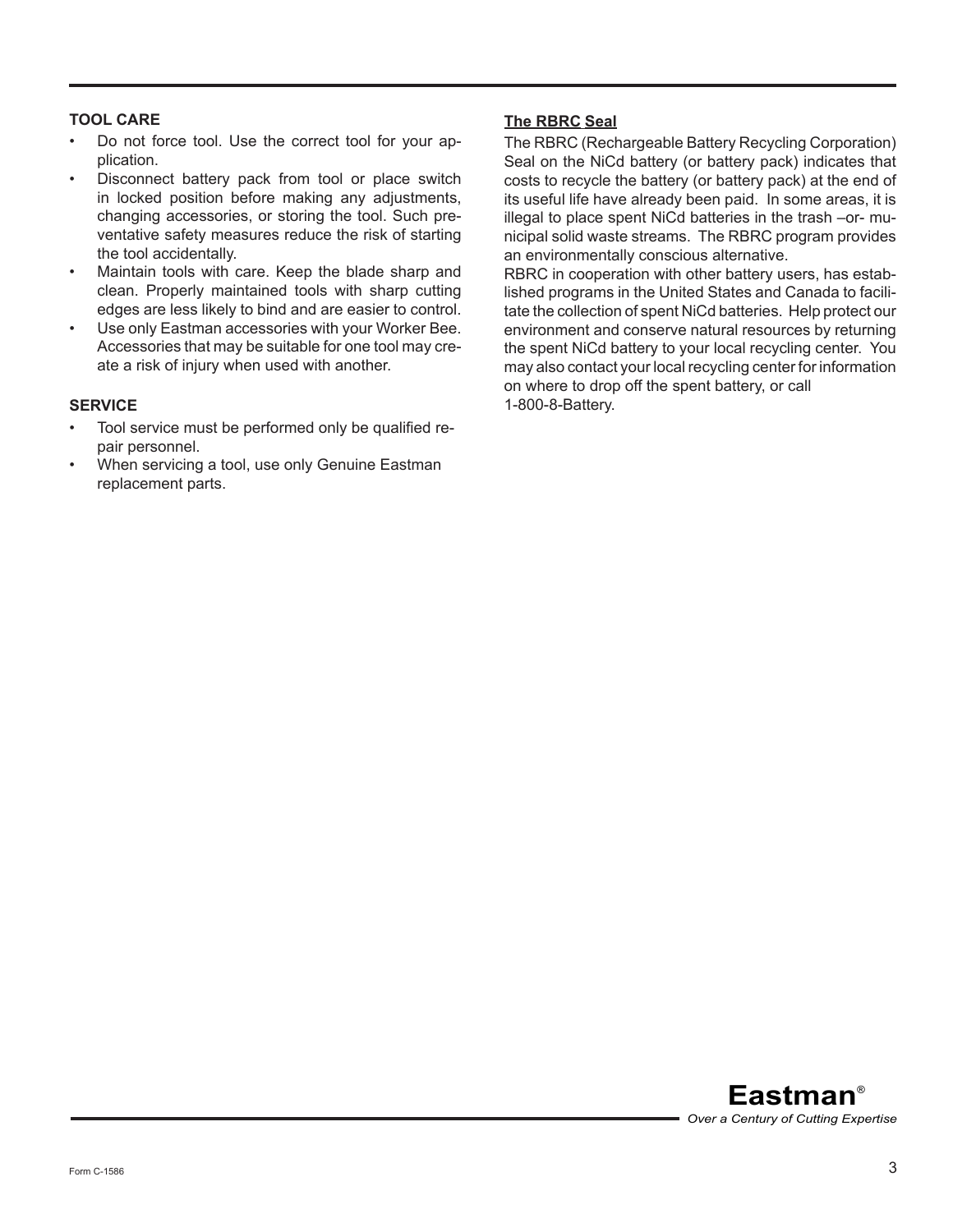#### **TOOL CARE**

- Do not force tool. Use the correct tool for your application.
- Disconnect battery pack from tool or place switch in locked position before making any adjustments, changing accessories, or storing the tool. Such preventative safety measures reduce the risk of starting the tool accidentally.
- Maintain tools with care. Keep the blade sharp and clean. Properly maintained tools with sharp cutting edges are less likely to bind and are easier to control.
- Use only Eastman accessories with your Worker Bee. Accessories that may be suitable for one tool may create a risk of injury when used with another.

#### **SERVICE**

- Tool service must be performed only be qualified repair personnel.
- When servicing a tool, use only Genuine Eastman replacement parts.

#### **The RBRC Seal**

The RBRC (Rechargeable Battery Recycling Corporation) Seal on the NiCd battery (or battery pack) indicates that costs to recycle the battery (or battery pack) at the end of its useful life have already been paid. In some areas, it is illegal to place spent NiCd batteries in the trash –or- municipal solid waste streams. The RBRC program provides an environmentally conscious alternative.

RBRC in cooperation with other battery users, has established programs in the United States and Canada to facilitate the collection of spent NiCd batteries. Help protect our environment and conserve natural resources by returning the spent NiCd battery to your local recycling center. You may also contact your local recycling center for information on where to drop off the spent battery, or call 1-800-8-Battery.

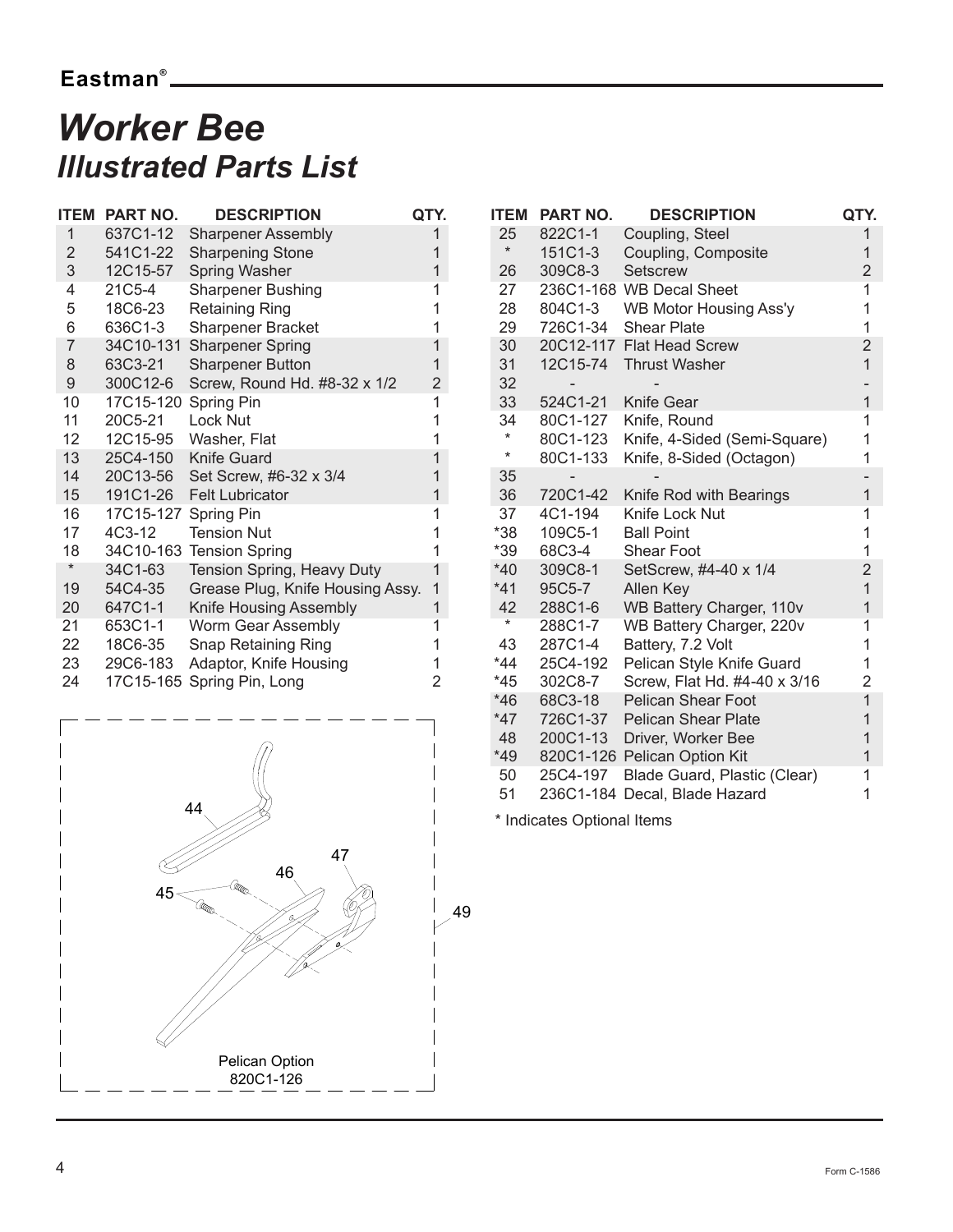# *Worker Bee Illustrated Parts List*

| <b>ITEM</b>    | PART NO.  | <b>DESCRIPTION</b>               | QTY. |
|----------------|-----------|----------------------------------|------|
| 1              | 637C1-12  | <b>Sharpener Assembly</b>        | 1    |
| 2              | 541C1-22  | <b>Sharpening Stone</b>          | 1    |
| 3              | 12C15-57  | Spring Washer                    | 1    |
| 4              | 21C5-4    | <b>Sharpener Bushing</b>         | 1    |
| 5              | 18C6-23   | <b>Retaining Ring</b>            | 1    |
| 6              | 636C1-3   | <b>Sharpener Bracket</b>         | 1    |
| $\overline{7}$ | 34C10-131 | <b>Sharpener Spring</b>          | 1    |
| 8              | 63C3-21   | <b>Sharpener Button</b>          | 1    |
| 9              | 300C12-6  | Screw, Round Hd. #8-32 x 1/2     | 2    |
| 10             | 17C15-120 | Spring Pin                       | 1    |
| 11             | 20C5-21   | Lock Nut                         | 1    |
| 12             | 12C15-95  | Washer, Flat                     | 1    |
| 13             | 25C4-150  | <b>Knife Guard</b>               | 1    |
| 14             | 20C13-56  | Set Screw, #6-32 x 3/4           | 1    |
| 15             | 191C1-26  | <b>Felt Lubricator</b>           | 1    |
| 16             | 17C15-127 | Spring Pin                       | 1    |
| 17             | 4C3-12    | <b>Tension Nut</b>               | 1    |
| 18             |           | 34C10-163 Tension Spring         | 1    |
| $\ast$         | 34C1-63   | Tension Spring, Heavy Duty       | 1    |
| 19             | 54C4-35   | Grease Plug, Knife Housing Assy. | 1    |
| 20             | 647C1-1   | Knife Housing Assembly           | 1    |
| 21             | 653C1-1   | <b>Worm Gear Assembly</b>        | 1    |
| 22             | 18C6-35   | Snap Retaining Ring              | 1    |
| 23             | 29C6-183  | Adaptor, Knife Housing           | 1    |
| 24             | 17C15-165 | Spring Pin, Long                 | 2    |



| <b>ITEM</b> | <b>PART NO.</b> | <b>DESCRIPTION</b>           | QTY.           |
|-------------|-----------------|------------------------------|----------------|
| 25          | 822C1-1         | Coupling, Steel              | 1              |
| $\star$     | 151C1-3         | Coupling, Composite          | 1              |
| 26          | 309C8-3         | <b>Setscrew</b>              | $\overline{2}$ |
| 27          | 236C1-168       | <b>WB Decal Sheet</b>        | 1              |
| 28          | 804C1-3         | WB Motor Housing Ass'y       | 1              |
| 29          | 726C1-34        | <b>Shear Plate</b>           | 1              |
| 30          |                 | 20C12-117 Flat Head Screw    | $\overline{2}$ |
| 31          | 12C15-74        | <b>Thrust Washer</b>         | $\overline{1}$ |
| 32          |                 |                              |                |
| 33          | 524C1-21        | Knife Gear                   | $\overline{1}$ |
| 34          | 80C1-127        | Knife, Round                 | 1              |
| $\ast$      | 80C1-123        | Knife, 4-Sided (Semi-Square) | 1              |
| *           | 80C1-133        | Knife, 8-Sided (Octagon)     | 1              |
| 35          |                 |                              |                |
| 36          | 720C1-42        | Knife Rod with Bearings      | $\overline{1}$ |
| 37          | 4C1-194         | Knife Lock Nut               | 1              |
| $*38$       | 109C5-1         | <b>Ball Point</b>            | 1              |
| $*39$       | 68C3-4          | <b>Shear Foot</b>            | 1              |
| $*40$       | 309C8-1         | SetScrew, #4-40 x 1/4        | $\overline{2}$ |
| $*41$       | 95C5-7          | Allen Key                    | $\overline{1}$ |
| 42          | 288C1-6         | WB Battery Charger, 110v     | $\overline{1}$ |
| $\ast$      | 288C1-7         | WB Battery Charger, 220v     | 1              |
| 43          | 287C1-4         | Battery, 7.2 Volt            | 1              |
| *44         | 25C4-192        | Pelican Style Knife Guard    | 1              |
| $*45$       | 302C8-7         | Screw, Flat Hd. #4-40 x 3/16 | $\overline{2}$ |
| $*46$       | 68C3-18         | <b>Pelican Shear Foot</b>    | $\overline{1}$ |
| *47         | 726C1-37        | <b>Pelican Shear Plate</b>   | $\overline{1}$ |
| 48          | 200C1-13        | Driver, Worker Bee           | 1              |
| *49         | 820C1-126       | Pelican Option Kit           | 1              |
| 50          | 25C4-197        | Blade Guard, Plastic (Clear) | 1              |
| 51          | 236C1-184       | Decal, Blade Hazard          | 1              |
|             |                 |                              |                |

\* Indicates Optional Items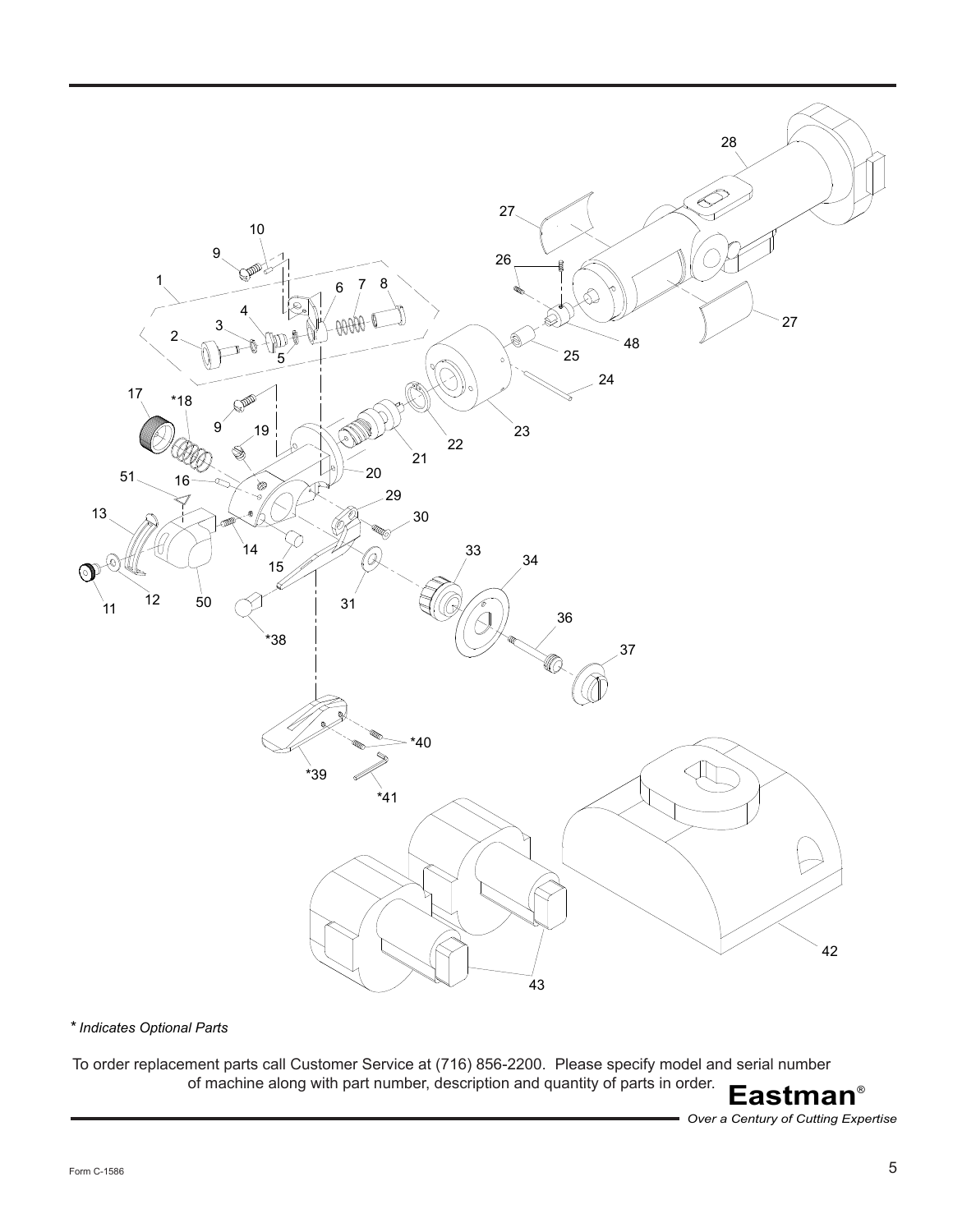

*\* Indicates Optional Parts*

**Eastman** *®* To order replacement parts call Customer Service at (716) 856-2200. Please specify model and serial number of machine along with part number, description and quantity of parts in order.

*Over a Century of Cutting Expertise*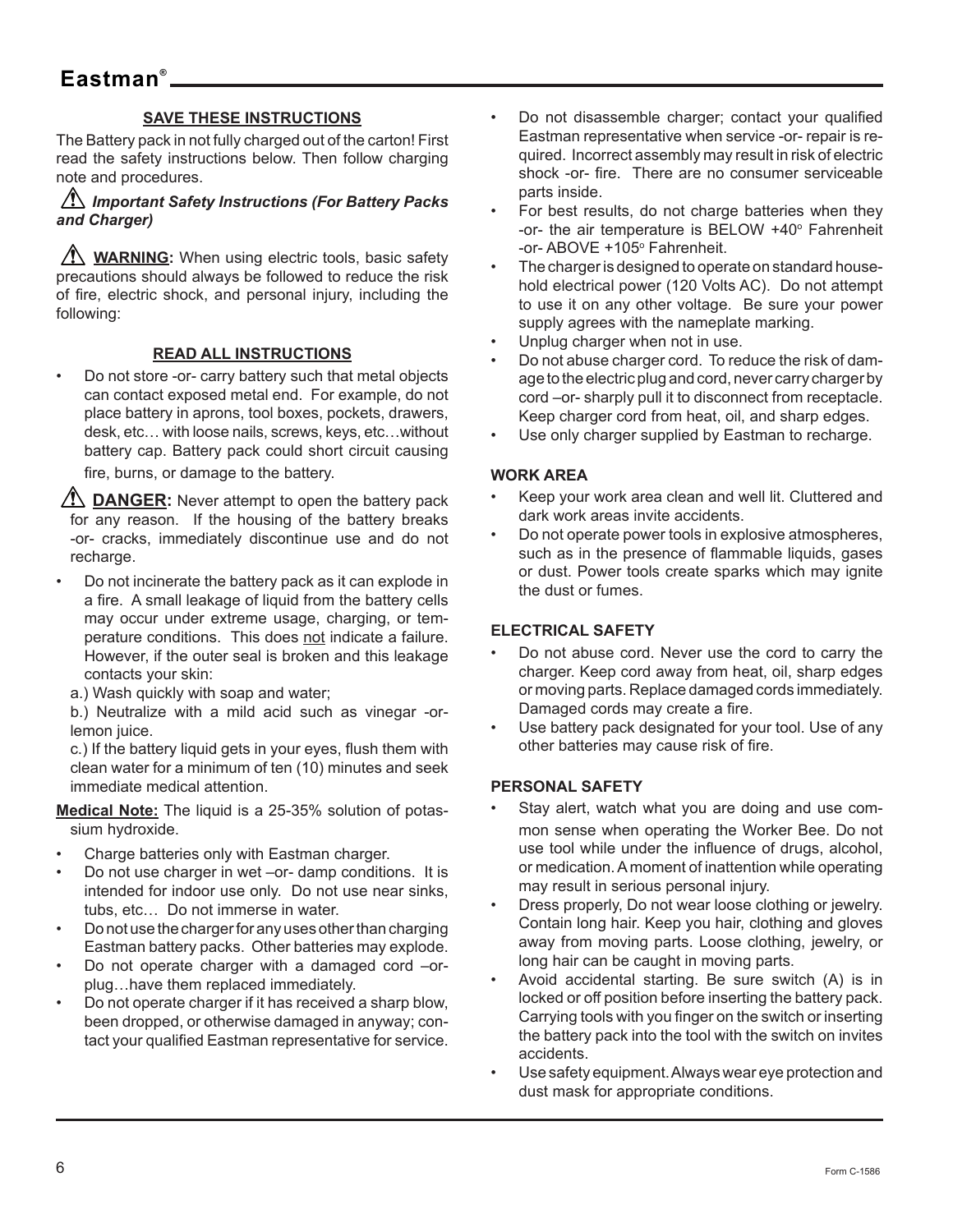### **Eastman®**

#### **SAVE THESE INSTRUCTIONS**

The Battery pack in not fully charged out of the carton! First read the safety instructions below. Then follow charging note and procedures.

#### *Important Safety Instructions (For Battery Packs and Charger)*

**WARNING**: When using electric tools, basic safety precautions should always be followed to reduce the risk of fire, electric shock, and personal injury, including the following:

#### **READ ALL INSTRUCTIONS**

• Do not store -or- carry battery such that metal objects can contact exposed metal end. For example, do not place battery in aprons, tool boxes, pockets, drawers, desk, etc… with loose nails, screws, keys, etc…without battery cap. Battery pack could short circuit causing fire, burns, or damage to the battery.

 $\sqrt{\phantom{a}}$  **DANGER:** Never attempt to open the battery pack for any reason. If the housing of the battery breaks -or- cracks, immediately discontinue use and do not recharge.

- Do not incinerate the battery pack as it can explode in a fire. A small leakage of liquid from the battery cells may occur under extreme usage, charging, or temperature conditions. This does not indicate a failure. However, if the outer seal is broken and this leakage contacts your skin:
- a.) Wash quickly with soap and water;

b.) Neutralize with a mild acid such as vinegar -orlemon juice.

c.) If the battery liquid gets in your eyes, flush them with clean water for a minimum of ten (10) minutes and seek immediate medical attention.

**Medical Note:** The liquid is a 25-35% solution of potassium hydroxide.

- Charge batteries only with Eastman charger.
- Do not use charger in wet –or- damp conditions. It is intended for indoor use only. Do not use near sinks, tubs, etc… Do not immerse in water.
- Do not use the charger for any uses other than charging Eastman battery packs. Other batteries may explode.
- Do not operate charger with a damaged cord –orplug…have them replaced immediately.
- Do not operate charger if it has received a sharp blow, been dropped, or otherwise damaged in anyway; contact your qualified Eastman representative for service.
- Do not disassemble charger; contact your qualified Eastman representative when service -or- repair is required. Incorrect assembly may result in risk of electric shock -or- fire. There are no consumer serviceable parts inside.
- For best results, do not charge batteries when they -or- the air temperature is BELOW +40° Fahrenheit -or- ABOVE +105° Fahrenheit.
- The charger is designed to operate on standard household electrical power (120 Volts AC). Do not attempt to use it on any other voltage. Be sure your power supply agrees with the nameplate marking.
- Unplug charger when not in use.
- Do not abuse charger cord. To reduce the risk of damage to the electric plug and cord, never carry charger by cord –or- sharply pull it to disconnect from receptacle. Keep charger cord from heat, oil, and sharp edges.
- Use only charger supplied by Eastman to recharge.

#### **WORK AREA**

- Keep your work area clean and well lit. Cluttered and dark work areas invite accidents.
- Do not operate power tools in explosive atmospheres, such as in the presence of flammable liquids, gases or dust. Power tools create sparks which may ignite the dust or fumes.

#### **ELECTRICAL SAFETY**

- Do not abuse cord. Never use the cord to carry the charger. Keep cord away from heat, oil, sharp edges or moving parts. Replace damaged cords immediately. Damaged cords may create a fire.
- Use battery pack designated for your tool. Use of any other batteries may cause risk of fire.

#### **PERSONAL SAFETY**

- Stay alert, watch what you are doing and use common sense when operating the Worker Bee. Do not use tool while under the influence of drugs, alcohol, or medication. A moment of inattention while operating may result in serious personal injury.
- Dress properly, Do not wear loose clothing or jewelry. Contain long hair. Keep you hair, clothing and gloves away from moving parts. Loose clothing, jewelry, or long hair can be caught in moving parts.
- Avoid accidental starting. Be sure switch (A) is in locked or off position before inserting the battery pack. Carrying tools with you finger on the switch or inserting the battery pack into the tool with the switch on invites accidents.
- Use safety equipment. Always wear eye protection and dust mask for appropriate conditions.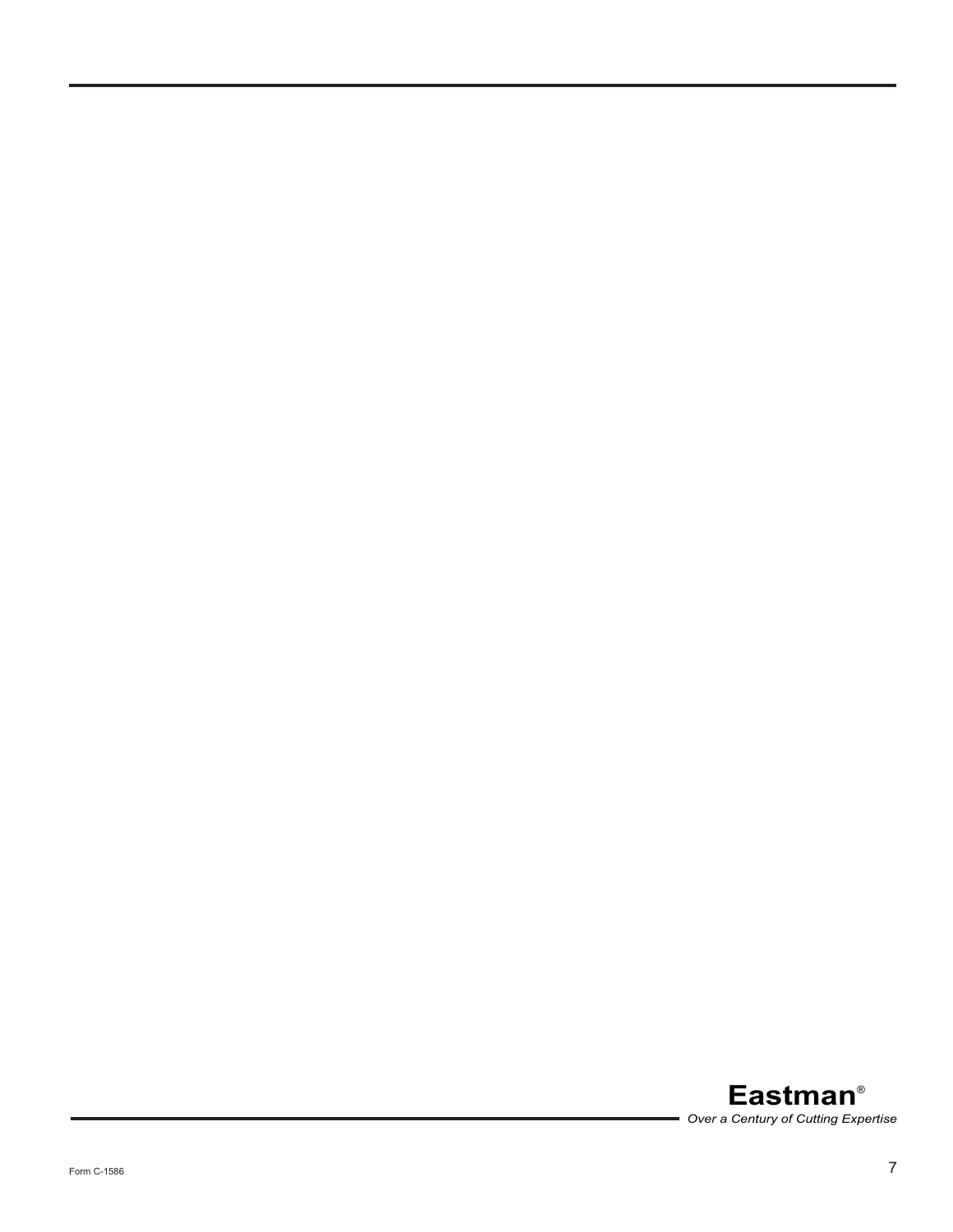